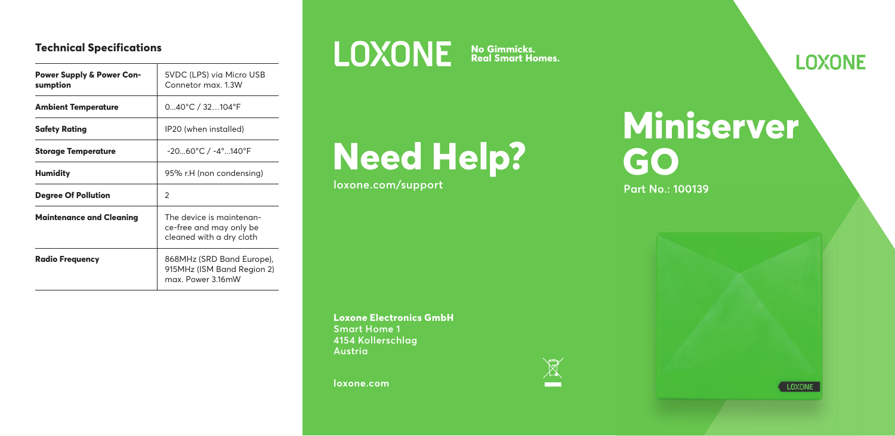#### **Technical Specifications**

| Power Supply & Power Con-<br>sumption | 5VDC (LPS) via Micro USB<br>Connetor max. 1.3W                                  |
|---------------------------------------|---------------------------------------------------------------------------------|
| Ambient Temperature                   | $040^{\circ}$ C / 32 $104^{\circ}$ F                                            |
| Safety Rating                         | IP20 (when installed)                                                           |
| <b>Storage Temperature</b>            | $-2060^{\circ}$ C / $-4^{\circ}$ 140°F                                          |
| Humidity                              | 95% r.H (non condensing)                                                        |
| <b>Degree Of Pollution</b>            | $\mathcal{P}$                                                                   |
| <b>Maintenance and Cleaning</b>       | The device is maintenan-<br>ce-free and may only be<br>cleaned with a dry cloth |
| <b>Radio Frequency</b>                | 868MHz (SRD Band Europe),<br>915MHz (ISM Band Region 2)<br>max. Power 3.16mW    |

**No Gimmicks. Real Smart Homes.**

# **Need Help?**

**loxone.com/support**

**Loxone Electronics GmbH**

**Smart Home 1 4154 Kollerschlag Austria**

**loxone.com**



## **Miniserver GO**

**Part No.: 100139**

**LOXONE** 

LOXONE